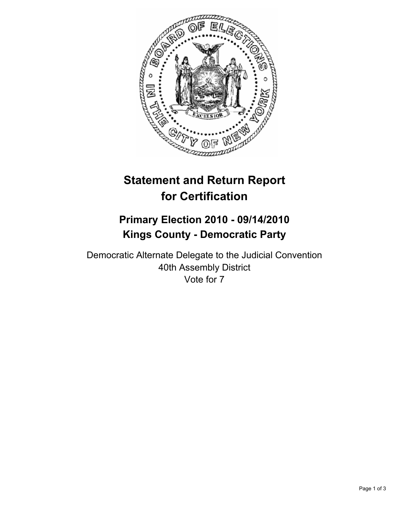

# **Statement and Return Report for Certification**

# **Primary Election 2010 - 09/14/2010 Kings County - Democratic Party**

Democratic Alternate Delegate to the Judicial Convention 40th Assembly District Vote for 7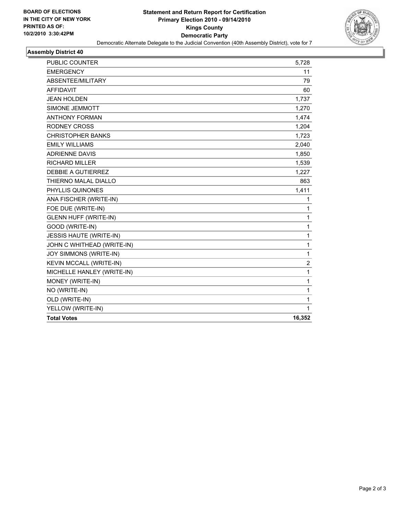

#### **Assembly District 40**

| <b>PUBLIC COUNTER</b>          | 5,728          |
|--------------------------------|----------------|
| <b>EMERGENCY</b>               | 11             |
| ABSENTEE/MILITARY              | 79             |
| <b>AFFIDAVIT</b>               | 60             |
| <b>JEAN HOLDEN</b>             | 1,737          |
| SIMONE JEMMOTT                 | 1,270          |
| <b>ANTHONY FORMAN</b>          | 1,474          |
| <b>RODNEY CROSS</b>            | 1,204          |
| <b>CHRISTOPHER BANKS</b>       | 1,723          |
| <b>EMILY WILLIAMS</b>          | 2,040          |
| <b>ADRIENNE DAVIS</b>          | 1,850          |
| <b>RICHARD MILLER</b>          | 1,539          |
| DEBBIE A GUTIERREZ             | 1,227          |
| THIERNO MALAL DIALLO           | 863            |
| PHYLLIS QUINONES               | 1,411          |
| ANA FISCHER (WRITE-IN)         | 1              |
| FOE DUE (WRITE-IN)             | 1              |
| <b>GLENN HUFF (WRITE-IN)</b>   | $\mathbf{1}$   |
| GOOD (WRITE-IN)                | 1              |
| <b>JESSIS HAUTE (WRITE-IN)</b> | 1              |
| JOHN C WHITHEAD (WRITE-IN)     | 1              |
| JOY SIMMONS (WRITE-IN)         | 1              |
| KEVIN MCCALL (WRITE-IN)        | $\overline{2}$ |
| MICHELLE HANLEY (WRITE-IN)     | 1              |
| MONEY (WRITE-IN)               | 1              |
| NO (WRITE-IN)                  | 1              |
| OLD (WRITE-IN)                 | 1              |
| YELLOW (WRITE-IN)              | 1              |
| <b>Total Votes</b>             | 16,352         |